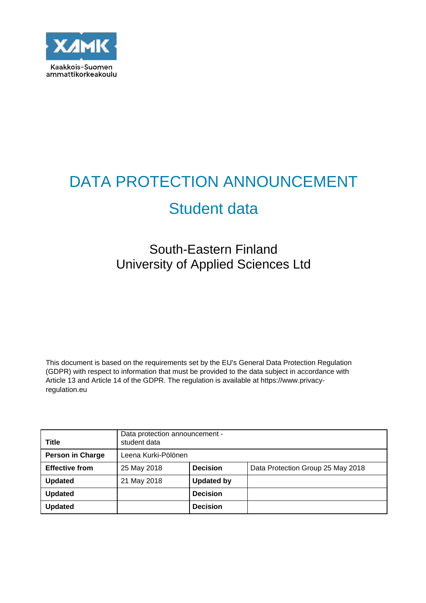

# DATA PROTECTION ANNOUNCEMENT

# Student data

# South-Eastern Finland University of Applied Sciences Ltd

This document is based on the requirements set by the EU's General Data Protection Regulation (GDPR) with respect to information that must be provided to the data subject in accordance with Article 13 and Article 14 of the GDPR. The regulation is available at https://www.privacyregulation.eu

| <b>Title</b>            | Data protection announcement -<br>student data |                   |                                   |
|-------------------------|------------------------------------------------|-------------------|-----------------------------------|
| <b>Person in Charge</b> | Leena Kurki-Pölönen                            |                   |                                   |
| <b>Effective from</b>   | 25 May 2018                                    | <b>Decision</b>   | Data Protection Group 25 May 2018 |
| <b>Updated</b>          | 21 May 2018                                    | <b>Updated by</b> |                                   |
| <b>Updated</b>          |                                                | <b>Decision</b>   |                                   |
| <b>Updated</b>          |                                                | <b>Decision</b>   |                                   |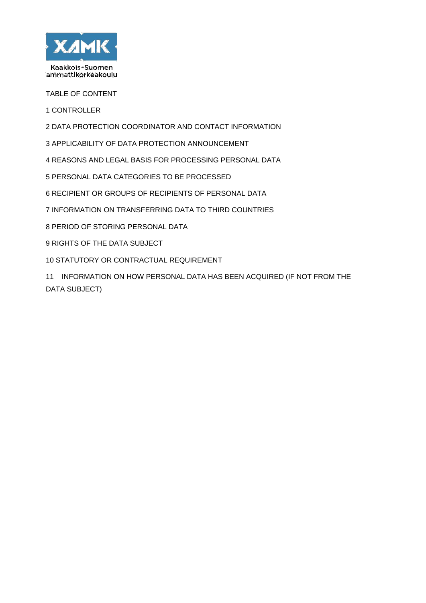

TABLE OF CONTENT

CONTROLLER

- DATA PROTECTION COORDINATOR AND CONTACT INFORMATION
- APPLICABILITY OF DATA PROTECTION ANNOUNCEMENT
- REASONS AND LEGAL BASIS FOR PROCESSING PERSONAL DATA
- PERSONAL DATA CATEGORIES TO BE PROCESSED
- RECIPIENT OR GROUPS OF RECIPIENTS OF PERSONAL DATA
- INFORMATION ON TRANSFERRING DATA TO THIRD COUNTRIES
- PERIOD OF STORING PERSONAL DATA
- RIGHTS OF THE DATA SUBJECT
- STATUTORY OR CONTRACTUAL REQUIREMENT

11 INFORMATION ON HOW PERSONAL DATA HAS BEEN ACQUIRED (IF NOT FROM THE DATA SUBJECT)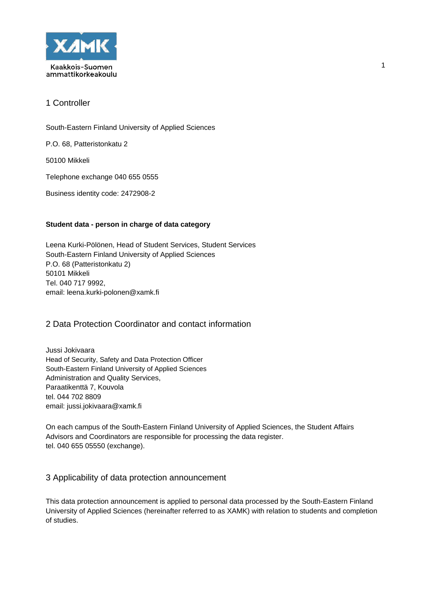

South-Eastern Finland University of Applied Sciences

P.O. 68, Patteristonkatu 2

50100 Mikkeli

Telephone exchange 040 655 0555

Business identity code: 2472908-2

#### **Student data - person in charge of data category**

Leena Kurki-Pölönen, Head of Student Services, Student Services South-Eastern Finland University of Applied Sciences P.O. 68 (Patteristonkatu 2) 50101 Mikkeli Tel. 040 717 9992, email: leena.kurki-polonen@xamk.fi

## 2 Data Protection Coordinator and contact information

Jussi Jokivaara Head of Security, Safety and Data Protection Officer South-Eastern Finland University of Applied Sciences Administration and Quality Services, Paraatikenttä 7, Kouvola tel. 044 702 8809 email: jussi.jokivaara@xamk.fi

On each campus of the South-Eastern Finland University of Applied Sciences, the Student Affairs Advisors and Coordinators are responsible for processing the data register. tel. 040 655 05550 (exchange).

#### 3 Applicability of data protection announcement

This data protection announcement is applied to personal data processed by the South-Eastern Finland University of Applied Sciences (hereinafter referred to as XAMK) with relation to students and completion of studies.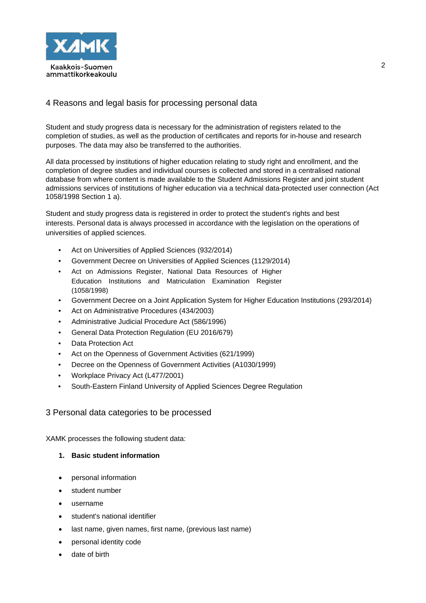

# 4 Reasons and legal basis for processing personal data

Student and study progress data is necessary for the administration of registers related to the completion of studies, as well as the production of certificates and reports for in-house and research purposes. The data may also be transferred to the authorities.

All data processed by institutions of higher education relating to study right and enrollment, and the completion of degree studies and individual courses is collected and stored in a centralised national database from where content is made available to the Student Admissions Register and joint student admissions services of institutions of higher education via a technical data-protected user connection (Act 1058/1998 Section 1 a).

Student and study progress data is registered in order to protect the student's rights and best interests. Personal data is always processed in accordance with the legislation on the operations of universities of applied sciences.

- Act on Universities of Applied Sciences (932/2014)
- Government Decree on Universities of Applied Sciences (1129/2014)
- Act on Admissions Register, National Data Resources of Higher Education Institutions and Matriculation Examination Register (1058/1998)
- Government Decree on a Joint Application System for Higher Education Institutions (293/2014)
- Act on Administrative Procedures (434/2003)
- Administrative Judicial Procedure Act (586/1996)
- General Data Protection Regulation (EU 2016/679)
- Data Protection Act
- Act on the Openness of Government Activities (621/1999)
- Decree on the Openness of Government Activities (A1030/1999)
- Workplace Privacy Act (L477/2001)
- South-Eastern Finland University of Applied Sciences Degree Regulation

#### 3 Personal data categories to be processed

XAMK processes the following student data:

#### **1. Basic student information**

- personal information
- student number
- username
- student's national identifier
- last name, given names, first name, (previous last name)
- personal identity code
- date of birth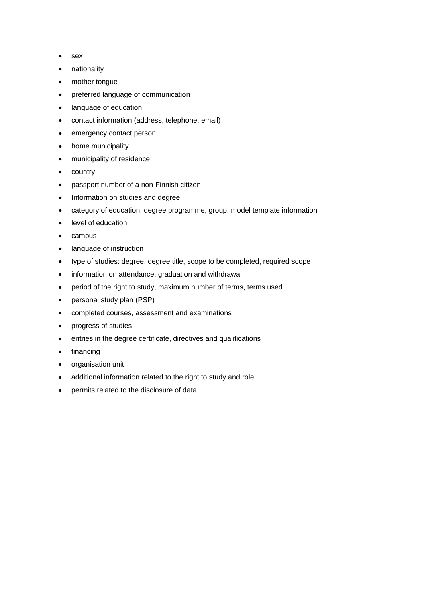- sex
- nationality
- mother tongue
- preferred language of communication
- language of education
- contact information (address, telephone, email)
- emergency contact person
- home municipality
- municipality of residence
- country
- passport number of a non-Finnish citizen
- Information on studies and degree
- category of education, degree programme, group, model template information
- level of education
- campus
- language of instruction
- type of studies: degree, degree title, scope to be completed, required scope
- information on attendance, graduation and withdrawal
- period of the right to study, maximum number of terms, terms used
- personal study plan (PSP)
- completed courses, assessment and examinations
- progress of studies
- entries in the degree certificate, directives and qualifications
- **financing**
- organisation unit
- additional information related to the right to study and role
- permits related to the disclosure of data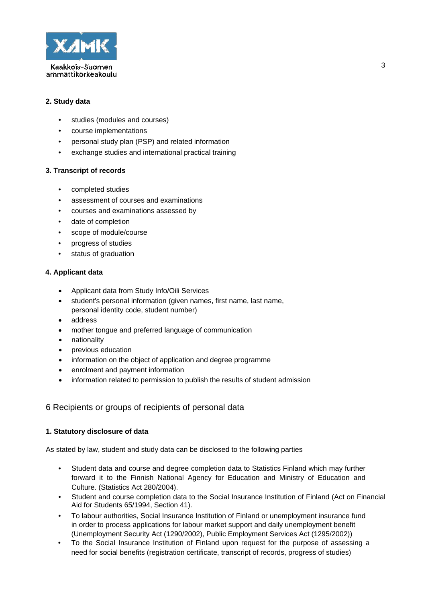

#### **2. Study data**

- studies (modules and courses)
- course implementations
- personal study plan (PSP) and related information
- exchange studies and international practical training

#### **3. Transcript of records**

- completed studies
- assessment of courses and examinations
- courses and examinations assessed by
- date of completion
- scope of module/course
- progress of studies
- status of graduation

#### **4. Applicant data**

- Applicant data from Study Info/Oili Services
- student's personal information (given names, first name, last name, personal identity code, student number)
- address
- mother tongue and preferred language of communication
- nationality
- previous education
- information on the object of application and degree programme
- enrolment and payment information
- information related to permission to publish the results of student admission

#### 6 Recipients or groups of recipients of personal data

#### **1. Statutory disclosure of data**

As stated by law, student and study data can be disclosed to the following parties

- Student data and course and degree completion data to Statistics Finland which may further forward it to the Finnish National Agency for Education and Ministry of Education and Culture. (Statistics Act 280/2004).
- Student and course completion data to the Social Insurance Institution of Finland (Act on Financial Aid for Students 65/1994, Section 41).
- To labour authorities, Social Insurance Institution of Finland or unemployment insurance fund in order to process applications for labour market support and daily unemployment benefit (Unemployment Security Act (1290/2002), Public Employment Services Act (1295/2002))
- To the Social Insurance Institution of Finland upon request for the purpose of assessing a need for social benefits (registration certificate, transcript of records, progress of studies)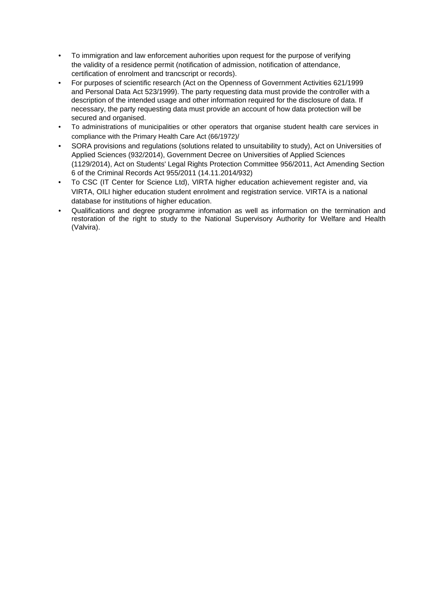- To immigration and law enforcement auhorities upon request for the purpose of verifying the validity of a residence permit (notification of admission, notification of attendance, certification of enrolment and trancscript or records).
- For purposes of scientific research (Act on the Openness of Government Activities 621/1999 and Personal Data Act 523/1999). The party requesting data must provide the controller with a description of the intended usage and other information required for the disclosure of data. If necessary, the party requesting data must provide an account of how data protection will be secured and organised.
- To administrations of municipalities or other operators that organise student health care services in compliance with the Primary Health Care Act (66/1972)/
- SORA provisions and regulations (solutions related to unsuitability to study), Act on Universities of Applied Sciences (932/2014), Government Decree on Universities of Applied Sciences (1129/2014), Act on Students' Legal Rights Protection Committee 956/2011, Act Amending Section 6 of the Criminal Records Act 955/2011 (14.11.2014/932)
- To CSC (IT Center for Science Ltd), VIRTA higher education achievement register and, via VIRTA, OILI higher education student enrolment and registration service. VIRTA is a national database for institutions of higher education.
- Qualifications and degree programme infomation as well as information on the termination and restoration of the right to study to the National Supervisory Authority for Welfare and Health (Valvira).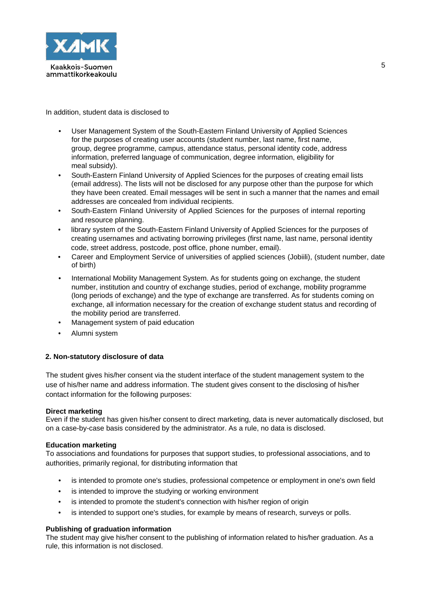

In addition, student data is disclosed to

- User Management System of the South-Eastern Finland University of Applied Sciences for the purposes of creating user accounts (student number, last name, first name, group, degree programme, campus, attendance status, personal identity code, address information, preferred language of communication, degree information, eligibility for meal subsidy).
- South-Eastern Finland University of Applied Sciences for the purposes of creating email lists (email address). The lists will not be disclosed for any purpose other than the purpose for which they have been created. Email messages will be sent in such a manner that the names and email addresses are concealed from individual recipients.
- South-Eastern Finland University of Applied Sciences for the purposes of internal reporting and resource planning.
- library system of the South-Eastern Finland University of Applied Sciences for the purposes of creating usernames and activating borrowing privileges (first name, last name, personal identity code, street address, postcode, post office, phone number, email).
- Career and Employment Service of universities of applied sciences (Jobiili), (student number, date of birth)
- International Mobility Management System. As for students going on exchange, the student number, institution and country of exchange studies, period of exchange, mobility programme (long periods of exchange) and the type of exchange are transferred. As for students coming on exchange, all information necessary for the creation of exchange student status and recording of the mobility period are transferred.
- Management system of paid education
- Alumni system

#### **2. Non-statutory disclosure of data**

The student gives his/her consent via the student interface of the student management system to the use of his/her name and address information. The student gives consent to the disclosing of his/her contact information for the following purposes:

#### **Direct marketing**

Even if the student has given his/her consent to direct marketing, data is never automatically disclosed, but on a case-by-case basis considered by the administrator. As a rule, no data is disclosed.

#### **Education marketing**

To associations and foundations for purposes that support studies, to professional associations, and to authorities, primarily regional, for distributing information that

- is intended to promote one's studies, professional competence or employment in one's own field
- is intended to improve the studving or working environment
- is intended to promote the student's connection with his/her region of origin
- is intended to support one's studies, for example by means of research, surveys or polls.

#### **Publishing of graduation information**

The student may give his/her consent to the publishing of information related to his/her graduation. As a rule, this information is not disclosed.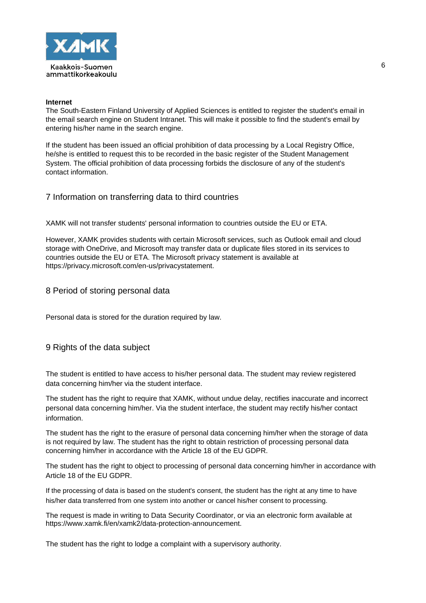

#### **Internet**

The South-Eastern Finland University of Applied Sciences is entitled to register the student's email in the email search engine on Student Intranet. This will make it possible to find the student's email by entering his/her name in the search engine.

If the student has been issued an official prohibition of data processing by a Local Registry Office, he/she is entitled to request this to be recorded in the basic register of the Student Management System. The official prohibition of data processing forbids the disclosure of any of the student's contact information.

### 7 Information on transferring data to third countries

XAMK will not transfer students' personal information to countries outside the EU or ETA.

However, XAMK provides students with certain Microsoft services, such as Outlook email and cloud storage with OneDrive, and Microsoft may transfer data or duplicate files stored in its services to countries outside the EU or ETA. The Microsoft privacy statement is available at https://privacy.microsoft.com/en-us/privacystatement.

#### 8 Period of storing personal data

Personal data is stored for the duration required by law.

#### 9 Rights of the data subject

The student is entitled to have access to his/her personal data. The student may review registered data concerning him/her via the student interface.

The student has the right to require that XAMK, without undue delay, rectifies inaccurate and incorrect personal data concerning him/her. Via the student interface, the student may rectify his/her contact information.

The student has the right to the erasure of personal data concerning him/her when the storage of data is not required by law. The student has the right to obtain restriction of processing personal data concerning him/her in accordance with the Article 18 of the EU GDPR.

The student has the right to object to processing of personal data concerning him/her in accordance with Article 18 of the EU GDPR.

If the processing of data is based on the student's consent, the student has the right at any time to have his/her data transferred from one system into another or cancel his/her consent to processing.

The request is made in writing to Data Security Coordinator, or via an electronic form available at https://www.xamk.fi/en/xamk2/data-protection-announcement.

The student has the right to lodge a complaint with a supervisory authority.